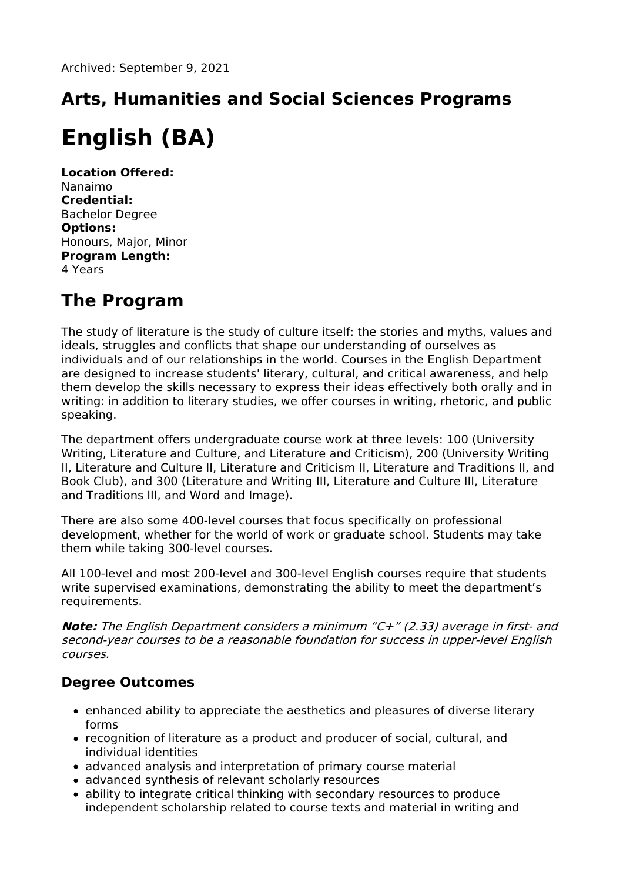# **Arts, Humanities and Social Sciences Programs English (BA)**

**Location Offered:** Nanaimo **Credential:** Bachelor Degree **Options:** Honours, Major, Minor **Program Length:** 4 Years

# **The Program**

The study of literature is the study of culture itself: the stories and myths, values and ideals, struggles and conflicts that shape our understanding of ourselves as individuals and of our relationships in the world. Courses in the English Department are designed to increase students' literary, cultural, and critical awareness, and help them develop the skills necessary to express their ideas effectively both orally and in writing: in addition to literary studies, we offer courses in writing, rhetoric, and public speaking.

The department offers undergraduate course work at three levels: 100 (University Writing, Literature and Culture, and Literature and Criticism), 200 (University Writing II, Literature and Culture II, Literature and Criticism II, Literature and Traditions II, and Book Club), and 300 (Literature and Writing III, Literature and Culture III, Literature and Traditions III, and Word and Image).

There are also some 400-level courses that focus specifically on professional development, whether for the world of work or graduate school. Students may take them while taking 300-level courses.

All 100-level and most 200-level and 300-level English courses require that students write supervised examinations, demonstrating the ability to meet the department's requirements.

**Note:** The English Department considers <sup>a</sup> minimum "C+" (2.33) average in first- and second-year courses to be <sup>a</sup> reasonable foundation for success in upper-level English courses.

# **Degree Outcomes**

- enhanced ability to appreciate the aesthetics and pleasures of diverse literary forms
- recognition of literature as a product and producer of social, cultural, and individual identities
- advanced analysis and interpretation of primary course material
- advanced synthesis of relevant scholarly resources
- ability to integrate critical thinking with secondary resources to produce independent scholarship related to course texts and material in writing and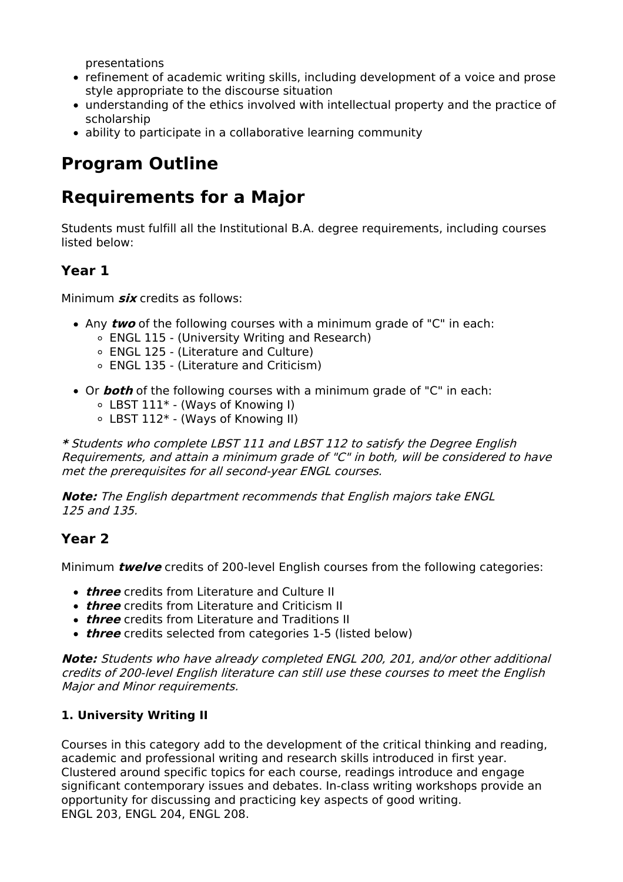presentations

- refinement of academic writing skills, including development of a voice and prose style appropriate to the discourse situation
- understanding of the ethics involved with intellectual property and the practice of scholarship
- ability to participate in a collaborative learning community

# **Program Outline**

# **Requirements for a Major**

Students must fulfill all the Institutional B.A. degree requirements, including courses listed below:

# **Year 1**

Minimum **six** credits as follows:

- Any **two** of the following courses with a minimum grade of "C" in each:
	- ENGL 115 (University Writing and Research)
	- ENGL 125 (Literature and Culture)
	- ENGL 135 (Literature and Criticism)
- Or **both** of the following courses with a minimum grade of "C" in each:
	- LBST 111\* (Ways of Knowing I)
	- LBST 112\* (Ways of Knowing II)

**\*** Students who complete LBST 111 and LBST 112 to satisfy the Degree English Requirements, and attain <sup>a</sup> minimum grade of "C" in both, will be considered to have met the prerequisites for all second-year ENGL courses.

**Note:** The English department recommends that English majors take ENGL 125 and 135.

# **Year 2**

Minimum **twelve** credits of 200-level English courses from the following categories:

- **three** credits from Literature and Culture II
- **three** credits from Literature and Criticism II
- **three** credits from Literature and Traditions II
- **three** credits selected from categories 1-5 (listed below)

**Note:** Students who have already completed ENGL 200, 201, and/or other additional credits of 200-level English literature can still use these courses to meet the English Major and Minor requirements.

### **1. University Writing II**

Courses in this category add to the development of the critical thinking and reading, academic and professional writing and research skills introduced in first year. Clustered around specific topics for each course, readings introduce and engage significant contemporary issues and debates. In-class writing workshops provide an opportunity for discussing and practicing key aspects of good writing. ENGL 203, ENGL 204, ENGL 208.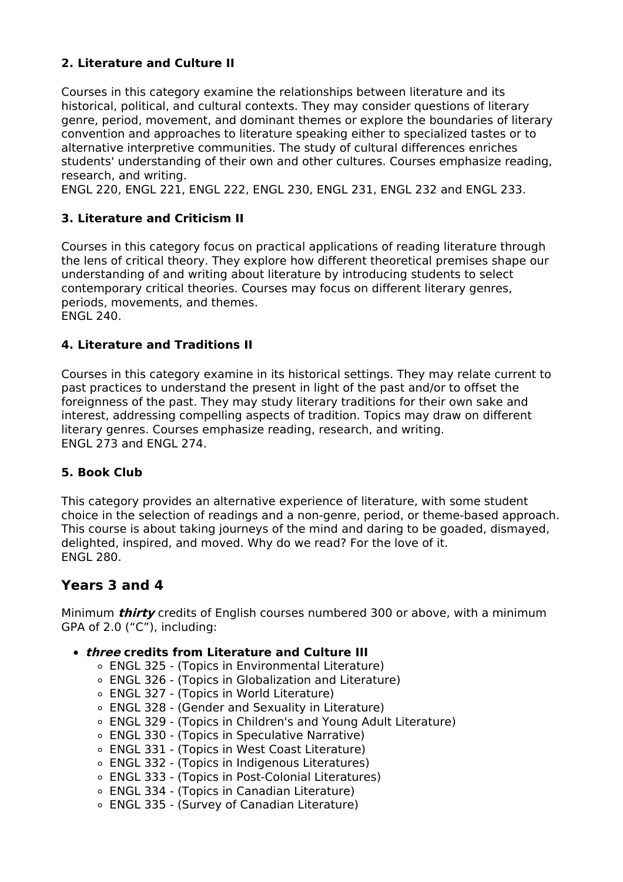### **2. Literature and Culture II**

Courses in this category examine the relationships between literature and its historical, political, and cultural contexts. They may consider questions of literary genre, period, movement, and dominant themes or explore the boundaries of literary convention and approaches to literature speaking either to specialized tastes or to alternative interpretive communities. The study of cultural differences enriches students' understanding of their own and other cultures. Courses emphasize reading, research, and writing.

ENGL 220, ENGL 221, ENGL 222, ENGL 230, ENGL 231, ENGL 232 and ENGL 233.

### **3. Literature and Criticism II**

Courses in this category focus on practical applications of reading literature through the lens of critical theory. They explore how different theoretical premises shape our understanding of and writing about literature by introducing students to select contemporary critical theories. Courses may focus on different literary genres, periods, movements, and themes. ENGL 240.

### **4. Literature and Traditions II**

Courses in this category examine in its historical settings. They may relate current to past practices to understand the present in light of the past and/or to offset the foreignness of the past. They may study literary traditions for their own sake and interest, addressing compelling aspects of tradition. Topics may draw on different literary genres. Courses emphasize reading, research, and writing. ENGL 273 and ENGL 274.

### **5. Book Club**

This category provides an alternative experience of literature, with some student choice in the selection of readings and a non-genre, period, or theme-based approach. This course is about taking journeys of the mind and daring to be goaded, dismayed, delighted, inspired, and moved. Why do we read? For the love of it. ENGL 280.

# **Years 3 and 4**

Minimum **thirty** credits of English courses numbered 300 or above, with a minimum GPA of 2.0 ("C"), including:

#### **three credits from Literature and Culture III**

- ENGL 325 (Topics in Environmental Literature)
- ENGL 326 (Topics in Globalization and Literature)
- ENGL 327 (Topics in World Literature)
- ENGL 328 (Gender and Sexuality in Literature)
- ENGL 329 (Topics in Children's and Young Adult Literature)
- ENGL 330 (Topics in Speculative Narrative)
- ENGL 331 (Topics in West Coast Literature)
- ENGL 332 (Topics in Indigenous Literatures)
- ENGL 333 (Topics in Post-Colonial Literatures)
- ENGL 334 (Topics in Canadian Literature)
- ENGL 335 (Survey of Canadian Literature)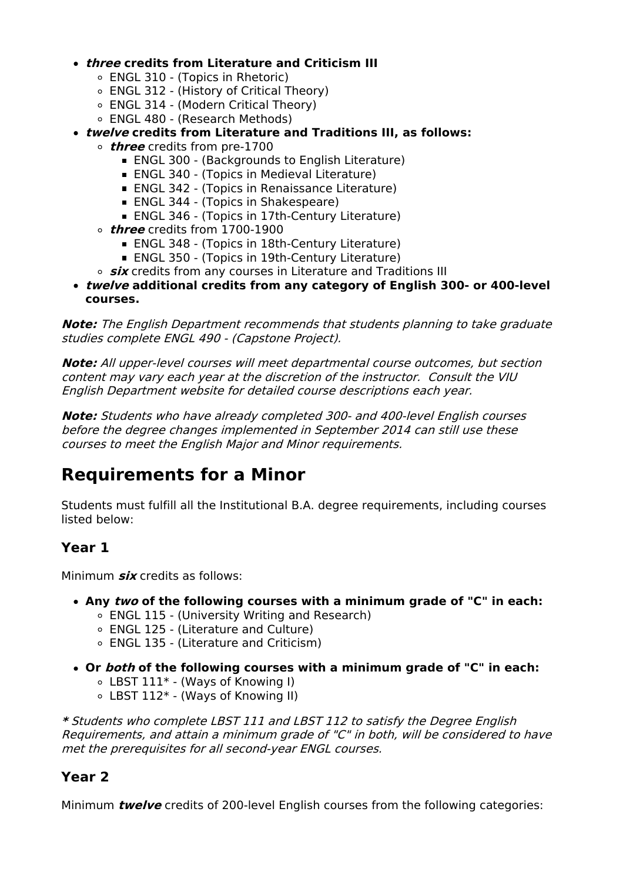### **three credits from Literature and Criticism III**

- ENGL 310 (Topics in Rhetoric)
- ENGL 312 (History of Critical Theory)
- ENGL 314 (Modern Critical Theory)
- ENGL 480 (Research Methods)
- **twelve credits from Literature and Traditions III, as follows:**
	- **three** credits from pre-1700
		- ENGL 300 (Backgrounds to English Literature)
		- **ENGL 340 (Topics in Medieval Literature)**
		- ENGL 342 (Topics in Renaissance Literature)
		- **ENGL 344 (Topics in Shakespeare)**
		- ENGL 346 (Topics in 17th-Century Literature)
	- **three** credits from 1700-1900
		- ENGL 348 (Topics in 18th-Century Literature)
		- ENGL 350 (Topics in 19th-Century Literature)
	- *six* credits from any courses in Literature and Traditions III
- **twelve additional credits from any category of English 300- or 400-level courses.**

**Note:** The English Department recommends that students planning to take graduate studies complete ENGL 490 - (Capstone Project).

**Note:** All upper-level courses will meet departmental course outcomes, but section content may vary each year at the discretion of the instructor. Consult the VIU English Department website for detailed course descriptions each year.

**Note:** Students who have already completed 300- and 400-level English courses before the degree changes implemented in September 2014 can still use these courses to meet the English Major and Minor requirements.

# **Requirements for a Minor**

Students must fulfill all the Institutional B.A. degree requirements, including courses listed below:

# **Year 1**

Minimum **six** credits as follows:

- **Any two of the following courses with a minimum grade of "C" in each:**
	- ENGL 115 (University Writing and Research)
	- ENGL 125 (Literature and Culture)
	- ENGL 135 (Literature and Criticism)
- **Or both of the following courses with a minimum grade of "C" in each:**
	- LBST 111\* (Ways of Knowing I)
	- LBST 112\* (Ways of Knowing II)

**\*** Students who complete LBST 111 and LBST 112 to satisfy the Degree English Requirements, and attain <sup>a</sup> minimum grade of "C" in both, will be considered to have met the prerequisites for all second-year ENGL courses.

# **Year 2**

Minimum **twelve** credits of 200-level English courses from the following categories: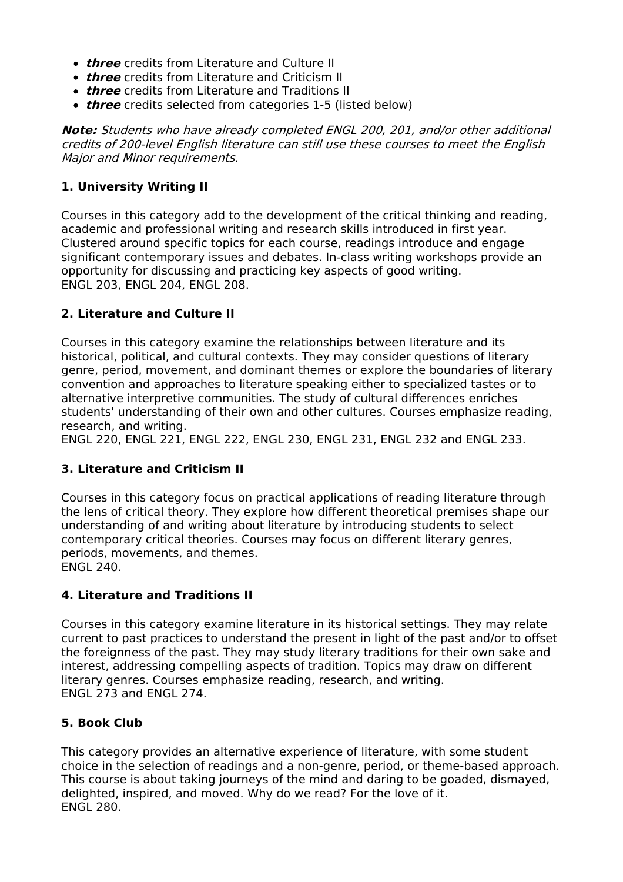- **three** credits from Literature and Culture II
- **three** credits from Literature and Criticism II
- **three** credits from Literature and Traditions II
- **three** credits selected from categories 1-5 (listed below)

**Note:** Students who have already completed ENGL 200, 201, and/or other additional credits of 200-level English literature can still use these courses to meet the English Major and Minor requirements.

### **1. University Writing II**

Courses in this category add to the development of the critical thinking and reading, academic and professional writing and research skills introduced in first year. Clustered around specific topics for each course, readings introduce and engage significant contemporary issues and debates. In-class writing workshops provide an opportunity for discussing and practicing key aspects of good writing. ENGL 203, ENGL 204, ENGL 208.

### **2. Literature and Culture II**

Courses in this category examine the relationships between literature and its historical, political, and cultural contexts. They may consider questions of literary genre, period, movement, and dominant themes or explore the boundaries of literary convention and approaches to literature speaking either to specialized tastes or to alternative interpretive communities. The study of cultural differences enriches students' understanding of their own and other cultures. Courses emphasize reading, research, and writing.

ENGL 220, ENGL 221, ENGL 222, ENGL 230, ENGL 231, ENGL 232 and ENGL 233.

### **3. Literature and Criticism II**

Courses in this category focus on practical applications of reading literature through the lens of critical theory. They explore how different theoretical premises shape our understanding of and writing about literature by introducing students to select contemporary critical theories. Courses may focus on different literary genres, periods, movements, and themes. ENGL 240.

### **4. Literature and Traditions II**

Courses in this category examine literature in its historical settings. They may relate current to past practices to understand the present in light of the past and/or to offset the foreignness of the past. They may study literary traditions for their own sake and interest, addressing compelling aspects of tradition. Topics may draw on different literary genres. Courses emphasize reading, research, and writing. ENGL 273 and ENGL 274.

### **5. Book Club**

This category provides an alternative experience of literature, with some student choice in the selection of readings and a non-genre, period, or theme-based approach. This course is about taking journeys of the mind and daring to be goaded, dismayed, delighted, inspired, and moved. Why do we read? For the love of it. ENGL 280.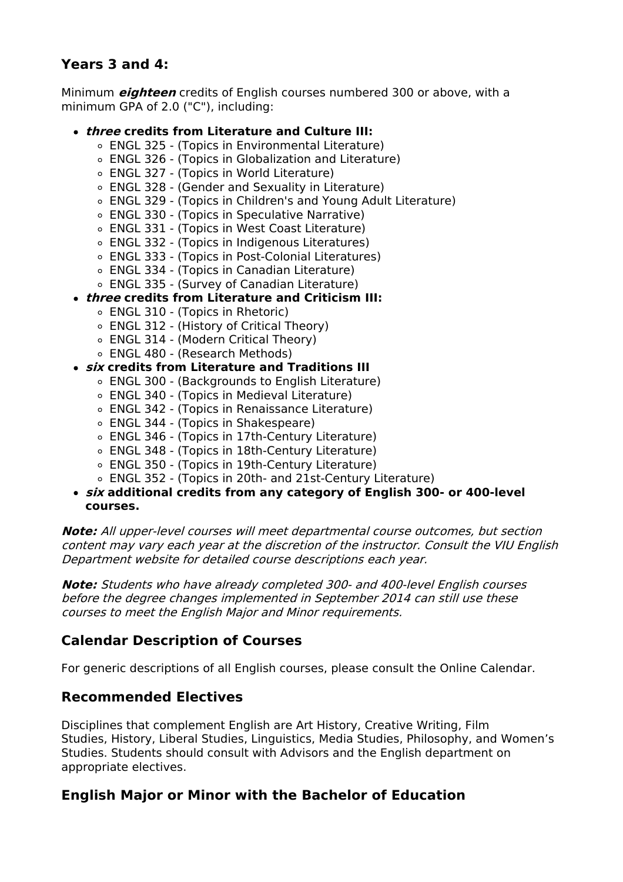# **Years 3 and 4:**

Minimum **eighteen** credits of English courses numbered 300 or above, with a minimum GPA of 2.0 ("C"), including:

### **three credits from Literature and Culture III:**

- ENGL 325 (Topics in Environmental Literature)
- ENGL 326 (Topics in Globalization and Literature)
- ENGL 327 (Topics in World Literature)
- ENGL 328 (Gender and Sexuality in Literature)
- ENGL 329 (Topics in Children's and Young Adult Literature)
- ENGL 330 (Topics in Speculative Narrative)
- ENGL 331 (Topics in West Coast Literature)
- ENGL 332 (Topics in Indigenous Literatures)
- ENGL 333 (Topics in Post-Colonial Literatures)
- ENGL 334 (Topics in Canadian Literature)
- ENGL 335 (Survey of Canadian Literature)
- **three credits from Literature and Criticism III:**
	- ENGL 310 (Topics in Rhetoric)
	- ENGL 312 (History of Critical Theory)
	- ENGL 314 (Modern Critical Theory)
	- ENGL 480 (Research Methods)

#### **six credits from Literature and Traditions III**

- ENGL 300 (Backgrounds to English Literature)
- ENGL 340 (Topics in Medieval Literature)
- ENGL 342 (Topics in Renaissance Literature)
- ENGL 344 (Topics in Shakespeare)
- ENGL 346 (Topics in 17th-Century Literature)
- ENGL 348 (Topics in 18th-Century Literature)
- ENGL 350 (Topics in 19th-Century Literature)
- ENGL 352 (Topics in 20th- and 21st-Century Literature)
- **six additional credits from any category of English 300- or 400-level courses.**

**Note:** All upper-level courses will meet departmental course outcomes, but section content may vary each year at the discretion of the instructor. Consult the VIU English Department website for detailed course descriptions each year.

**Note:** Students who have already completed 300- and 400-level English courses before the degree changes implemented in September 2014 can still use these courses to meet the English Major and Minor requirements.

# **Calendar Description of Courses**

For generic descriptions of all English courses, please consult the Online Calendar.

### **Recommended Electives**

Disciplines that complement English are Art History, Creative Writing, Film Studies, History, Liberal Studies, Linguistics, Media Studies, Philosophy, and Women's Studies. Students should consult with Advisors and the English department on appropriate electives.

# **English Major or Minor with the Bachelor of Education**